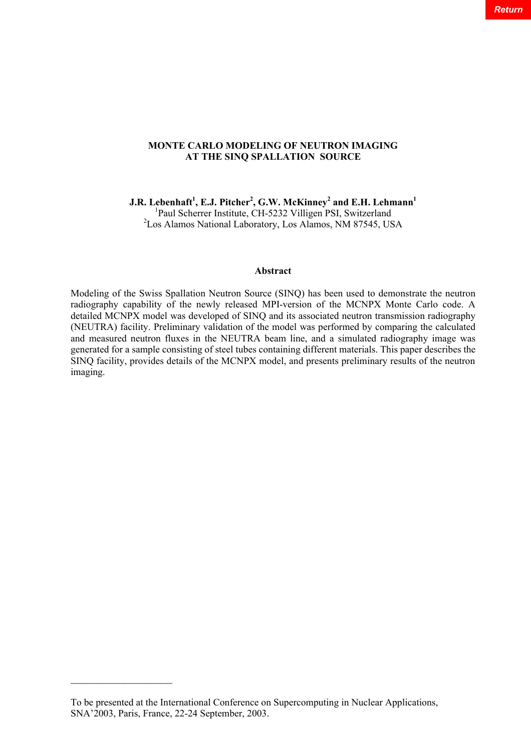# **MONTE CARLO MODELING OF NEUTRON IMAGING AT THE SINQ SPALLATION SOURCE**

**J.R. Lebenhaft<sup>1</sup> , E.J. Pitcher<sup>2</sup> , G.W. McKinney<sup>2</sup> and E.H. Lehmann<sup>1</sup>**

<sup>1</sup>Paul Scherrer Institute, CH-5232 Villigen PSI, Switzerland

<sup>2</sup>Los Alamos National Laboratory, Los Alamos, NM 87545, USA

## **Abstract**

Modeling of the Swiss Spallation Neutron Source (SINQ) has been used to demonstrate the neutron radiography capability of the newly released MPI-version of the MCNPX Monte Carlo code. A detailed MCNPX model was developed of SINQ and its associated neutron transmission radiography (NEUTRA) facility. Preliminary validation of the model was performed by comparing the calculated and measured neutron fluxes in the NEUTRA beam line, and a simulated radiography image was generated for a sample consisting of steel tubes containing different materials. This paper describes the SINQ facility, provides details of the MCNPX model, and presents preliminary results of the neutron imaging.

 $\mathcal{L}_\text{max}$  , where  $\mathcal{L}_\text{max}$  is the set of  $\mathcal{L}_\text{max}$ 

To be presented at the International Conference on Supercomputing in Nuclear Applications, SNA'2003, Paris, France, 22-24 September, 2003.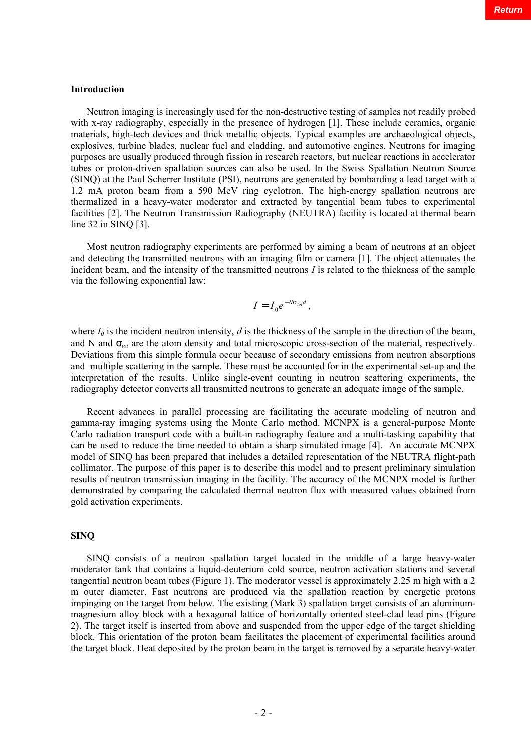#### **Introduction**

Neutron imaging is increasingly used for the non-destructive testing of samples not readily probed with x-ray radiography, especially in the presence of hydrogen [1]. These include ceramics, organic materials, high-tech devices and thick metallic objects. Typical examples are archaeological objects, explosives, turbine blades, nuclear fuel and cladding, and automotive engines. Neutrons for imaging purposes are usually produced through fission in research reactors, but nuclear reactions in accelerator tubes or proton-driven spallation sources can also be used. In the Swiss Spallation Neutron Source (SINQ) at the Paul Scherrer Institute (PSI), neutrons are generated by bombarding a lead target with a 1.2 mA proton beam from a 590 MeV ring cyclotron. The high-energy spallation neutrons are thermalized in a heavy-water moderator and extracted by tangential beam tubes to experimental facilities [2]. The Neutron Transmission Radiography (NEUTRA) facility is located at thermal beam line 32 in SINQ [3].

Most neutron radiography experiments are performed by aiming a beam of neutrons at an object and detecting the transmitted neutrons with an imaging film or camera [1]. The object attenuates the incident beam, and the intensity of the transmitted neutrons *I* is related to the thickness of the sample via the following exponential law:

$$
I=I_0e^{-Ns_{\text{tot}}d},
$$

where  $I_0$  is the incident neutron intensity,  $d$  is the thickness of the sample in the direction of the beam, and N and  $S<sub>tot</sub>$  are the atom density and total microscopic cross-section of the material, respectively. Deviations from this simple formula occur because of secondary emissions from neutron absorptions and multiple scattering in the sample. These must be accounted for in the experimental set-up and the interpretation of the results. Unlike single-event counting in neutron scattering experiments, the radiography detector converts all transmitted neutrons to generate an adequate image of the sample.

Recent advances in parallel processing are facilitating the accurate modeling of neutron and gamma-ray imaging systems using the Monte Carlo method. MCNPX is a general-purpose Monte Carlo radiation transport code with a built-in radiography feature and a multi-tasking capability that can be used to reduce the time needed to obtain a sharp simulated image [4]. An accurate MCNPX model of SINQ has been prepared that includes a detailed representation of the NEUTRA flight-path collimator. The purpose of this paper is to describe this model and to present preliminary simulation results of neutron transmission imaging in the facility. The accuracy of the MCNPX model is further demonstrated by comparing the calculated thermal neutron flux with measured values obtained from gold activation experiments.

## **SINQ**

SINQ consists of a neutron spallation target located in the middle of a large heavy-water moderator tank that contains a liquid-deuterium cold source, neutron activation stations and several tangential neutron beam tubes (Figure 1). The moderator vessel is approximately 2.25 m high with a 2 m outer diameter. Fast neutrons are produced via the spallation reaction by energetic protons impinging on the target from below. The existing (Mark 3) spallation target consists of an aluminummagnesium alloy block with a hexagonal lattice of horizontally oriented steel-clad lead pins (Figure 2). The target itself is inserted from above and suspended from the upper edge of the target shielding block. This orientation of the proton beam facilitates the placement of experimental facilities around the target block. Heat deposited by the proton beam in the target is removed by a separate heavy-water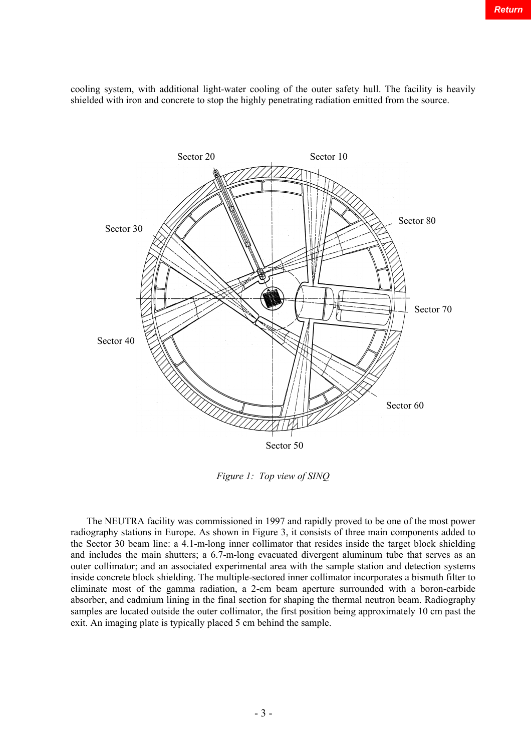Sector 70 Sector 80 Sector 20 Sector 10 Sector 30 Sector 40 Sector 50 Sector 60

cooling system, with additional light-water cooling of the outer safety hull. The facility is heavily shielded with iron and concrete to stop the highly penetrating radiation emitted from the source.

*Figure 1: Top view of SINQ*

The NEUTRA facility was commissioned in 1997 and rapidly proved to be one of the most power radiography stations in Europe. As shown in Figure 3, it consists of three main components added to the Sector 30 beam line: a 4.1-m-long inner collimator that resides inside the target block shielding and includes the main shutters; a 6.7-m-long evacuated divergent aluminum tube that serves as an outer collimator; and an associated experimental area with the sample station and detection systems inside concrete block shielding. The multiple-sectored inner collimator incorporates a bismuth filter to eliminate most of the gamma radiation, a 2-cm beam aperture surrounded with a boron-carbide absorber, and cadmium lining in the final section for shaping the thermal neutron beam. Radiography samples are located outside the outer collimator, the first position being approximately 10 cm past the exit. An imaging plate is typically placed 5 cm behind the sample.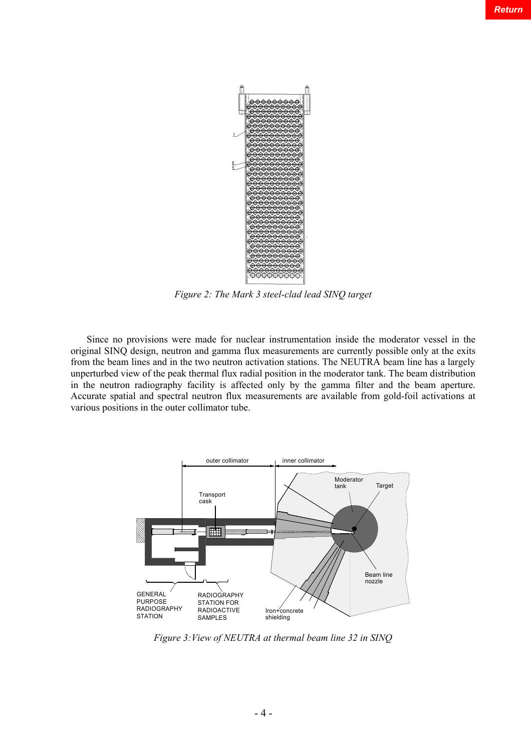

*Figure 2: The Mark 3 steel-clad lead SINQ target*

Since no provisions were made for nuclear instrumentation inside the moderator vessel in the original SINQ design, neutron and gamma flux measurements are currently possible only at the exits from the beam lines and in the two neutron activation stations. The NEUTRA beam line has a largely unperturbed view of the peak thermal flux radial position in the moderator tank. The beam distribution in the neutron radiography facility is affected only by the gamma filter and the beam aperture. Accurate spatial and spectral neutron flux measurements are available from gold-foil activations at various positions in the outer collimator tube.



*Figure 3:View of NEUTRA at thermal beam line 32 in SINQ*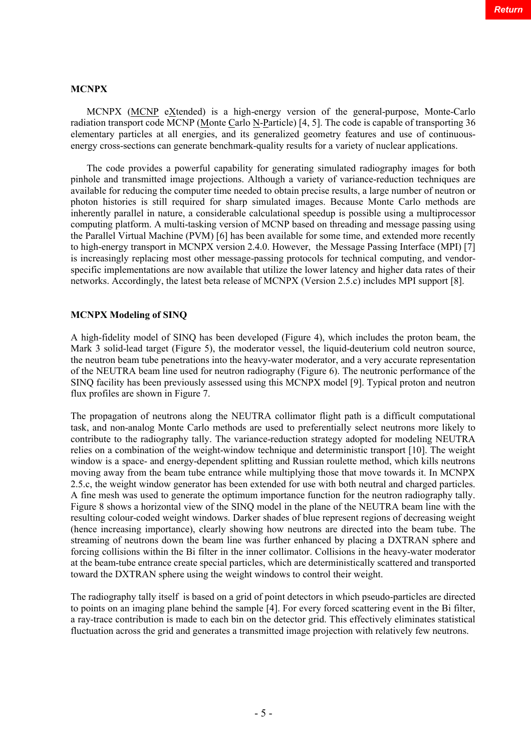# **MCNPX**

MCNPX (MCNP eXtended) is a high-energy version of the general-purpose, Monte-Carlo radiation transport code MCNP (Monte Carlo N-Particle) [4, 5]. The code is capable of transporting 36 elementary particles at all energies, and its generalized geometry features and use of continuousenergy cross-sections can generate benchmark-quality results for a variety of nuclear applications.

The code provides a powerful capability for generating simulated radiography images for both pinhole and transmitted image projections. Although a variety of variance-reduction techniques are available for reducing the computer time needed to obtain precise results, a large number of neutron or photon histories is still required for sharp simulated images. Because Monte Carlo methods are inherently parallel in nature, a considerable calculational speedup is possible using a multiprocessor computing platform. A multi-tasking version of MCNP based on threading and message passing using the Parallel Virtual Machine (PVM) [6] has been available for some time, and extended more recently to high-energy transport in MCNPX version 2.4.0. However, the Message Passing Interface (MPI) [7] is increasingly replacing most other message-passing protocols for technical computing, and vendorspecific implementations are now available that utilize the lower latency and higher data rates of their networks. Accordingly, the latest beta release of MCNPX (Version 2.5.c) includes MPI support [8].

# **MCNPX Modeling of SINQ**

A high-fidelity model of SINQ has been developed (Figure 4), which includes the proton beam, the Mark 3 solid-lead target (Figure 5), the moderator vessel, the liquid-deuterium cold neutron source, the neutron beam tube penetrations into the heavy-water moderator, and a very accurate representation of the NEUTRA beam line used for neutron radiography (Figure 6). The neutronic performance of the SINQ facility has been previously assessed using this MCNPX model [9]. Typical proton and neutron flux profiles are shown in Figure 7.

The propagation of neutrons along the NEUTRA collimator flight path is a difficult computational task, and non-analog Monte Carlo methods are used to preferentially select neutrons more likely to contribute to the radiography tally. The variance-reduction strategy adopted for modeling NEUTRA relies on a combination of the weight-window technique and deterministic transport [10]. The weight window is a space- and energy-dependent splitting and Russian roulette method, which kills neutrons moving away from the beam tube entrance while multiplying those that move towards it. In MCNPX 2.5.c, the weight window generator has been extended for use with both neutral and charged particles. A fine mesh was used to generate the optimum importance function for the neutron radiography tally. Figure 8 shows a horizontal view of the SINQ model in the plane of the NEUTRA beam line with the resulting colour-coded weight windows. Darker shades of blue represent regions of decreasing weight (hence increasing importance), clearly showing how neutrons are directed into the beam tube. The streaming of neutrons down the beam line was further enhanced by placing a DXTRAN sphere and forcing collisions within the Bi filter in the inner collimator. Collisions in the heavy-water moderator at the beam-tube entrance create special particles, which are deterministically scattered and transported toward the DXTRAN sphere using the weight windows to control their weight.

The radiography tally itself is based on a grid of point detectors in which pseudo-particles are directed to points on an imaging plane behind the sample [4]. For every forced scattering event in the Bi filter, a ray-trace contribution is made to each bin on the detector grid. This effectively eliminates statistical fluctuation across the grid and generates a transmitted image projection with relatively few neutrons.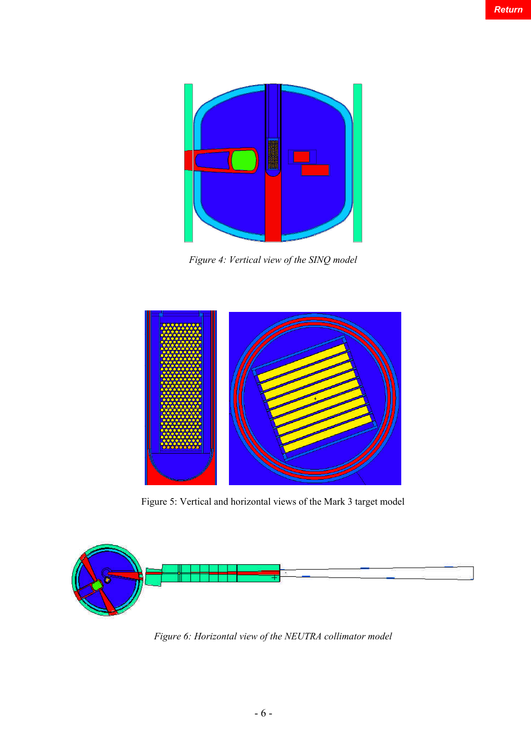

*Figure 4: Vertical view of the SINQ model*



Figure 5: Vertical and horizontal views of the Mark 3 target model



*Figure 6: Horizontal view of the NEUTRA collimator model*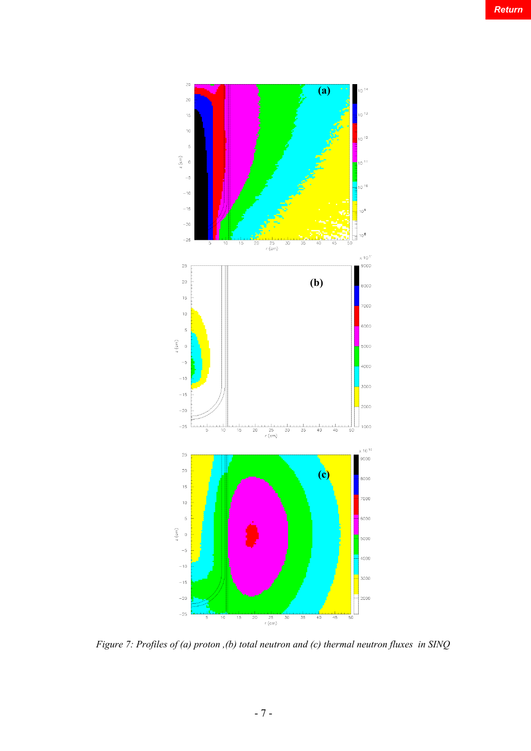

*Figure 7: Profiles of (a) proton ,(b) total neutron and (c) thermal neutron fluxes in SINQ*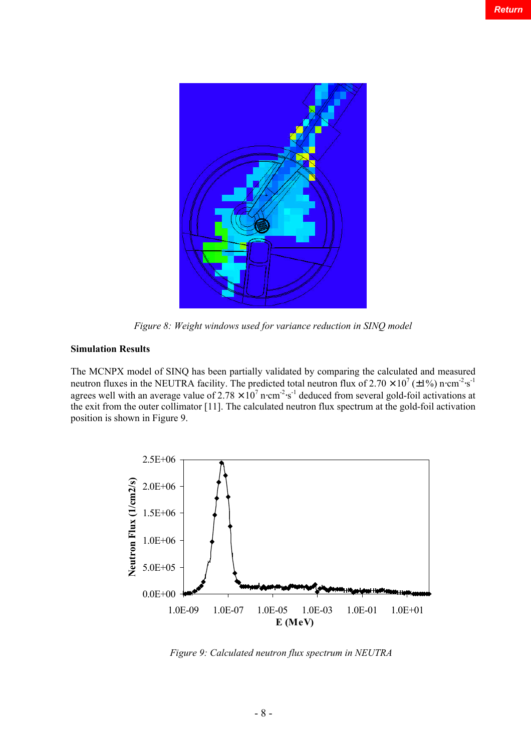

*Figure 8: Weight windows used for variance reduction in SINQ model*

# **Simulation Results**

The MCNPX model of SINQ has been partially validated by comparing the calculated and measured neutron fluxes in the NEUTRA facility. The predicted total neutron flux of  $2.70 \times 10^7$  ( $\pm 1\%$ ) n⋅cm<sup>-2</sup>⋅s<sup>-1</sup> agrees well with an average value of  $2.78 \times 10^7$  n⋅cm<sup>-2</sup>⋅s<sup>-1</sup> deduced from several gold-foil activations at the exit from the outer collimator [11]. The calculated neutron flux spectrum at the gold-foil activation position is shown in Figure 9.



*Figure 9: Calculated neutron flux spectrum in NEUTRA*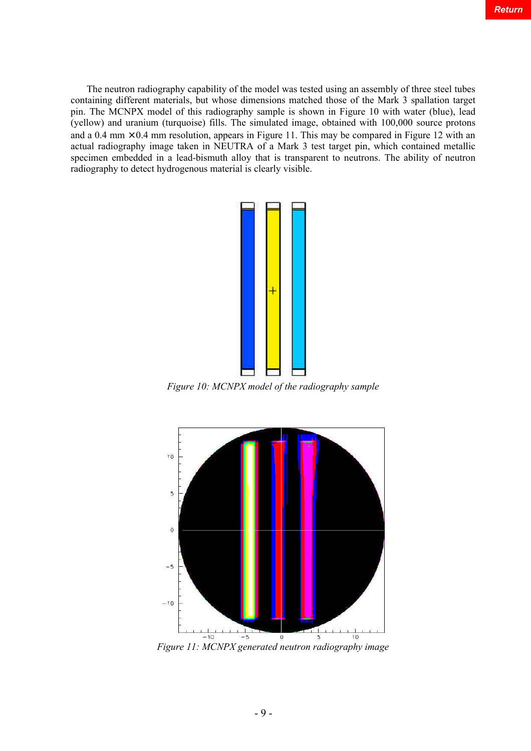The neutron radiography capability of the model was tested using an assembly of three steel tubes containing different materials, but whose dimensions matched those of the Mark 3 spallation target pin. The MCNPX model of this radiography sample is shown in Figure 10 with water (blue), lead (yellow) and uranium (turquoise) fills. The simulated image, obtained with 100,000 source protons and a 0.4 mm  $\times$  0.4 mm resolution, appears in Figure 11. This may be compared in Figure 12 with an actual radiography image taken in NEUTRA of a Mark 3 test target pin, which contained metallic specimen embedded in a lead-bismuth alloy that is transparent to neutrons. The ability of neutron radiography to detect hydrogenous material is clearly visible.



*Figure 10: MCNPX model of the radiography sample*



*Figure 11: MCNPX generated neutron radiography image*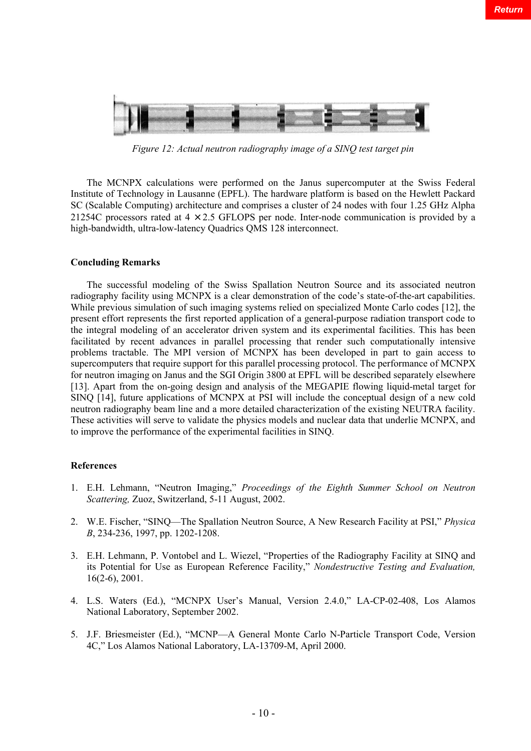

*Figure 12: Actual neutron radiography image of a SINQ test target pin*

The MCNPX calculations were performed on the Janus supercomputer at the Swiss Federal Institute of Technology in Lausanne (EPFL). The hardware platform is based on the Hewlett Packard SC (Scalable Computing) architecture and comprises a cluster of 24 nodes with four 1.25 GHz Alpha 21254C processors rated at  $4 \times 2.5$  GFLOPS per node. Inter-node communication is provided by a high-bandwidth, ultra-low-latency Quadrics QMS 128 interconnect.

## **Concluding Remarks**

The successful modeling of the Swiss Spallation Neutron Source and its associated neutron radiography facility using MCNPX is a clear demonstration of the code's state-of-the-art capabilities. While previous simulation of such imaging systems relied on specialized Monte Carlo codes [12], the present effort represents the first reported application of a general-purpose radiation transport code to the integral modeling of an accelerator driven system and its experimental facilities. This has been facilitated by recent advances in parallel processing that render such computationally intensive problems tractable. The MPI version of MCNPX has been developed in part to gain access to supercomputers that require support for this parallel processing protocol. The performance of MCNPX for neutron imaging on Janus and the SGI Origin 3800 at EPFL will be described separately elsewhere [13]. Apart from the on-going design and analysis of the MEGAPIE flowing liquid-metal target for SINQ [14], future applications of MCNPX at PSI will include the conceptual design of a new cold neutron radiography beam line and a more detailed characterization of the existing NEUTRA facility. These activities will serve to validate the physics models and nuclear data that underlie MCNPX, and to improve the performance of the experimental facilities in SINQ.

#### **References**

- 1. E.H. Lehmann, "Neutron Imaging," *Proceedings of the Eighth Summer School on Neutron Scattering,* Zuoz, Switzerland, 5-11 August, 2002.
- 2. W.E. Fischer, "SINQ—The Spallation Neutron Source, A New Research Facility at PSI," *Physica B*, 234-236, 1997, pp. 1202-1208.
- 3. E.H. Lehmann, P. Vontobel and L. Wiezel, "Properties of the Radiography Facility at SINQ and its Potential for Use as European Reference Facility," *Nondestructive Testing and Evaluation,* 16(2-6), 2001.
- 4. L.S. Waters (Ed.), "MCNPX User's Manual, Version 2.4.0," LA-CP-02-408, Los Alamos National Laboratory, September 2002.
- 5. J.F. Briesmeister (Ed.), "MCNP—A General Monte Carlo N-Particle Transport Code, Version 4C," Los Alamos National Laboratory, LA-13709-M, April 2000.